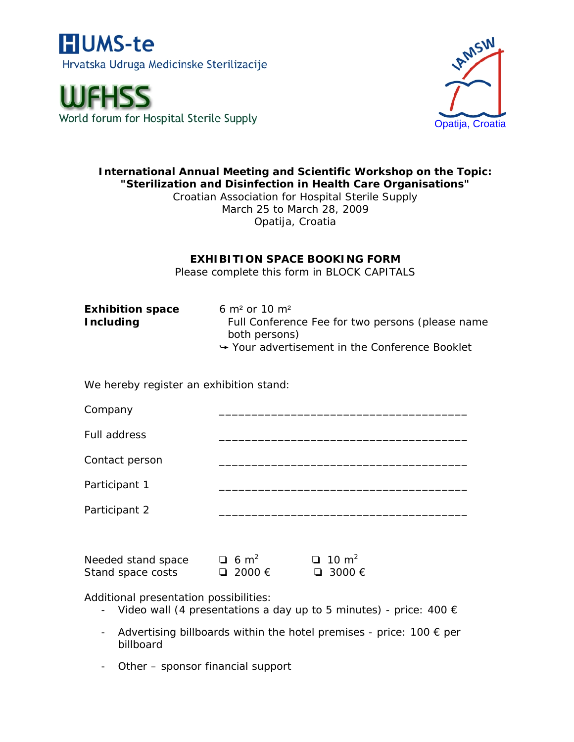





## **International Annual Meeting and Scientific Workshop on the Topic: "Sterilization and Disinfection in Health Care Organisations"**

Croatian Association for Hospital Sterile Supply March 25 to March 28, 2009 Opatija, Croatia

## **EXHIBITION SPACE BOOKING FORM**

Please complete this form in BLOCK CAPITALS

**Exhibition space** 6 m² or 10 m²

**Including** Full Conference Fee for two persons (please name both persons)  $\rightarrow$  Your advertisement in the Conference Booklet

We hereby register an exhibition stand:

| Company                                 |                                         |                                           |
|-----------------------------------------|-----------------------------------------|-------------------------------------------|
| <b>Full address</b>                     |                                         |                                           |
| Contact person                          |                                         |                                           |
| Participant 1                           |                                         |                                           |
| Participant 2                           |                                         |                                           |
|                                         |                                         |                                           |
| Needed stand space<br>Stand space costs | $\Box$ 6 m <sup>2</sup><br>□ 2000 $\in$ | $\Box$ 10 m <sup>2</sup><br>$\Box$ 3000 € |
| Additional presentation possibilities:  |                                         |                                           |

- Video wall (4 presentations a day up to 5 minutes) price:  $400 \in$
- Advertising billboards within the hotel premises price:  $100 \in per$ billboard
- Other sponsor financial support